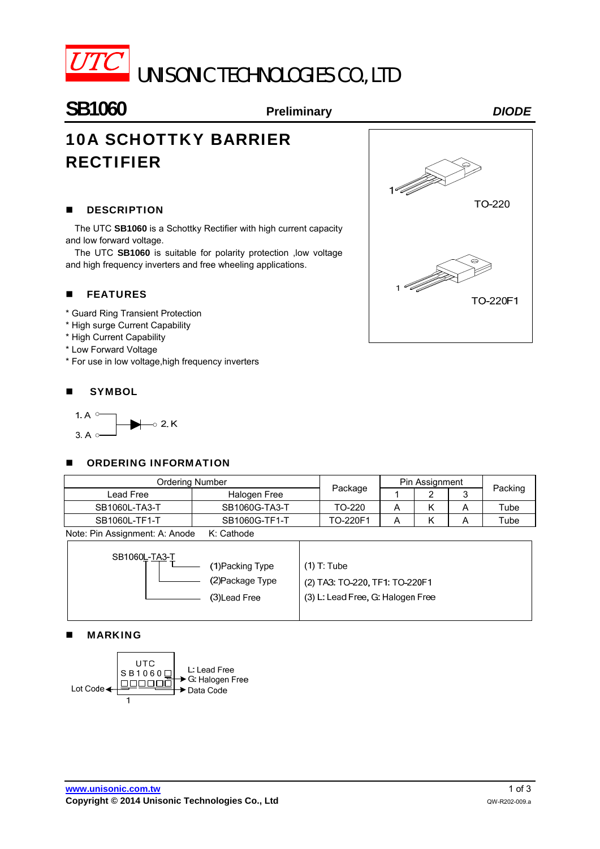

# UNISONIC TECHNOLOGIES CO., LTD

### **SB1060 Preliminary** *DIODE*

## 10A SCHOTTKY BARRIER RECTIFIER

#### **DESCRIPTION**

The UTC **SB1060** is a Schottky Rectifier with high current capacity and low forward voltage.

The UTC **SB1060** is suitable for polarity protection ,low voltage and high frequency inverters and free wheeling applications.

#### **FEATURES**

- \* Guard Ring Transient Protection
- \* High surge Current Capability
- \* High Current Capability
- \* Low Forward Voltage
- \* For use in low voltage,high frequency inverters

#### **SYMBOL**



#### **DECISION INFORMATION**

| <b>Ordering Number</b>                        |               |          | Pin Assignment |  |  |         |  |
|-----------------------------------------------|---------------|----------|----------------|--|--|---------|--|
| Lead Free                                     | Halogen Free  | Package  |                |  |  | Packing |  |
| SB1060L-TA3-T                                 | SB1060G-TA3-T | TO-220   |                |  |  | Tube    |  |
| SB1060L-TF1-T                                 | SB1060G-TF1-T | TO-220F1 |                |  |  | Tube    |  |
| Alota: Pin Accianment: A: Anode<br>K: Cathode |               |          |                |  |  |         |  |

Note: Pin Assignment: A: Anode K: Cathode

#### MARKING



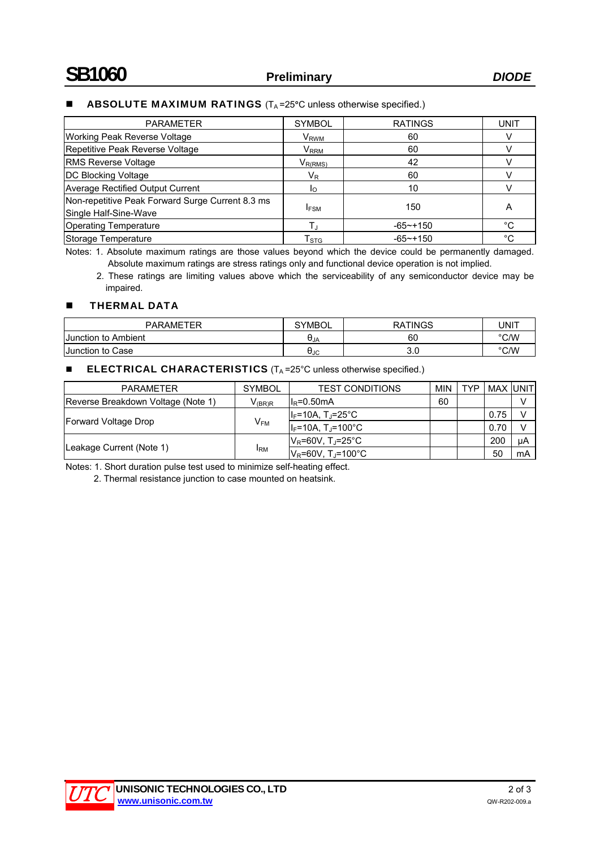#### **ABSOLUTE MAXIMUM RATINGS**  $(T_A = 25^\circ C)$  unless otherwise specified.)

| <b>PARAMETER</b>                                                          | <b>SYMBOL</b>               | <b>RATINGS</b> | <b>UNIT</b> |
|---------------------------------------------------------------------------|-----------------------------|----------------|-------------|
| Working Peak Reverse Voltage                                              | V <sub>RWM</sub>            | 60             |             |
| Repetitive Peak Reverse Voltage                                           | $\mathsf{V}_{\mathsf{RRM}}$ | 60             |             |
| <b>RMS Reverse Voltage</b>                                                | $V_{R(RMS)}$                | 42             |             |
| <b>DC Blocking Voltage</b>                                                | $V_{R}$                     | 60             |             |
| <b>Average Rectified Output Current</b>                                   | Iο                          | 10             |             |
| Non-repetitive Peak Forward Surge Current 8.3 ms<br>Single Half-Sine-Wave | <b>IFSM</b>                 | 150            | А           |
| <b>Operating Temperature</b>                                              |                             | $-65$ ~+150    | °C          |
| Storage Temperature                                                       | $\Gamma_{\rm STG}$          | $-65$ ~+150    | °C          |

Notes: 1. Absolute maximum ratings are those values beyond which the device could be permanently damaged. Absolute maximum ratings are stress ratings only and functional device operation is not implied.

2. These ratings are limiting values above which the serviceability of any semiconductor device may be impaired.

#### **THERMAL DATA**

| <b>PARAMETER</b>    | <b>SYMBOL</b> | RATINGS | UNIT |
|---------------------|---------------|---------|------|
| Junction to Ambient | UJA           | 60      | °C/W |
| Junction to Case    | UJC           | v.v     | °C/W |

#### **ELECTRICAL CHARACTERISTICS** (T<sub>A</sub>=25°C unless otherwise specified.)

| <b>PARAMETER</b>                   | <b>SYMBOL</b> | <b>TEST CONDITIONS</b>              | <b>MIN</b> | <b>TYP</b> | MAX IUNITI |    |
|------------------------------------|---------------|-------------------------------------|------------|------------|------------|----|
| Reverse Breakdown Voltage (Note 1) | $V_{(BR)R}$   | $IIR=0.50mA$                        | 60         |            |            | v  |
|                                    | $V_{FM}$      | $I_F$ =10A, T <sub>J</sub> =25°C    |            |            | 0.75       | v  |
| Forward Voltage Drop               |               | $I_F = 10A$ , T <sub>J</sub> =100°C |            |            | 0.70       |    |
|                                    | <b>IRM</b>    | IV <sub>R</sub> =60V, T,⊨25°C_      |            |            | 200        | μA |
| Leakage Current (Note 1)           |               | $V_R = 60V$ . T <sub>i</sub> =100°C |            |            | 50         | mA |

Notes: 1. Short duration pulse test used to minimize self-heating effect.

2. Thermal resistance junction to case mounted on heatsink.